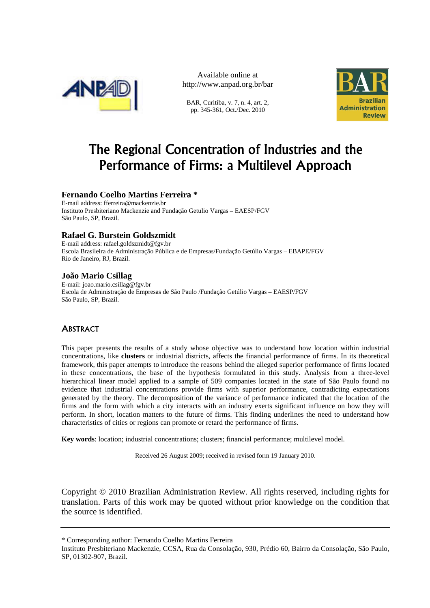

Available online at http://www.anpad.org.br/bar

BAR, Curitiba, v. 7, n. 4, art. 2, pp. 345-361, Oct./Dec. 2010



# The Regional Concentration of Industries and the Performance of Firms: a Multilevel Approach

# **Fernando Coelho Martins Ferreira \***

E-mail address: fferreira@mackenzie.br Instituto Presbiteriano Mackenzie and Fundação Getulio Vargas – EAESP/FGV São Paulo, SP, Brazil.

# **Rafael G. Burstein Goldszmidt**

E-mail address: rafael.goldszmidt@fgv.br Escola Brasileira de Administração Pública e de Empresas/Fundação Getúlio Vargas – EBAPE/FGV Rio de Janeiro, RJ, Brazil.

## **João Mario Csillag**

E-mail: joao.mario.csillag@fgv.br Escola de Administração de Empresas de São Paulo /Fundação Getúlio Vargas – EAESP/FGV São Paulo, SP, Brazil.

# **ABSTRACT**

This paper presents the results of a study whose objective was to understand how location within industrial concentrations, like **clusters** or industrial districts, affects the financial performance of firms. In its theoretical framework, this paper attempts to introduce the reasons behind the alleged superior performance of firms located in these concentrations, the base of the hypothesis formulated in this study. Analysis from a three-level hierarchical linear model applied to a sample of 509 companies located in the state of São Paulo found no evidence that industrial concentrations provide firms with superior performance, contradicting expectations generated by the theory. The decomposition of the variance of performance indicated that the location of the firms and the form with which a city interacts with an industry exerts significant influence on how they will perform. In short, location matters to the future of firms. This finding underlines the need to understand how characteristics of cities or regions can promote or retard the performance of firms.

**Key words**: location; industrial concentrations; clusters; financial performance; multilevel model.

Received 26 August 2009; received in revised form 19 January 2010.

Copyright © 2010 Brazilian Administration Review. All rights reserved, including rights for translation. Parts of this work may be quoted without prior knowledge on the condition that the source is identified.

<sup>\*</sup> Corresponding author: Fernando Coelho Martins Ferreira

Instituto Presbiteriano Mackenzie, CCSA, Rua da Consolação, 930, Prédio 60, Bairro da Consolação, São Paulo, SP, 01302-907, Brazil.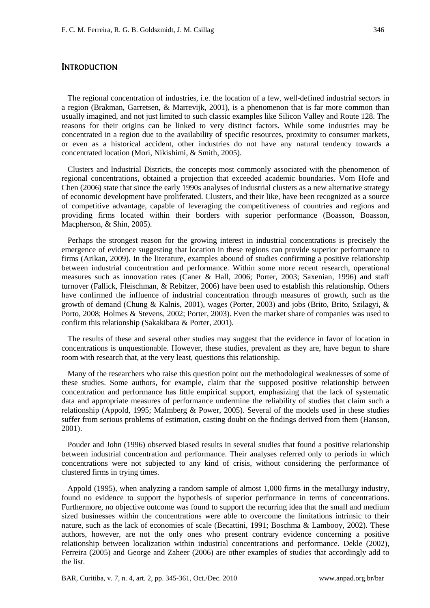The regional concentration of industries, i.e. the location of a few, well-defined industrial sectors in a region (Brakman, Garretsen, & Marrevijk, 2001), is a phenomenon that is far more common than usually imagined, and not just limited to such classic examples like Silicon Valley and Route 128. The reasons for their origins can be linked to very distinct factors. While some industries may be concentrated in a region due to the availability of specific resources, proximity to consumer markets, or even as a historical accident, other industries do not have any natural tendency towards a concentrated location (Mori, Nikishimi, & Smith, 2005).

Clusters and Industrial Districts, the concepts most commonly associated with the phenomenon of regional concentrations, obtained a projection that exceeded academic boundaries. Vom Hofe and Chen (2006) state that since the early 1990s analyses of industrial clusters as a new alternative strategy of economic development have proliferated. Clusters, and their like, have been recognized as a source of competitive advantage, capable of leveraging the competitiveness of countries and regions and providing firms located within their borders with superior performance (Boasson, Boasson, Macpherson, & Shin, 2005).

Perhaps the strongest reason for the growing interest in industrial concentrations is precisely the emergence of evidence suggesting that location in these regions can provide superior performance to firms (Arikan, 2009). In the literature, examples abound of studies confirming a positive relationship between industrial concentration and performance. Within some more recent research, operational measures such as innovation rates (Caner & Hall, 2006; Porter, 2003; Saxenian, 1996) and staff turnover (Fallick, Fleischman, & Rebitzer, 2006) have been used to establish this relationship. Others have confirmed the influence of industrial concentration through measures of growth, such as the growth of demand (Chung & Kalnis, 2001), wages (Porter, 2003) and jobs (Brito, Brito, Szilagyi, & Porto, 2008; Holmes & Stevens, 2002; Porter, 2003). Even the market share of companies was used to confirm this relationship (Sakakibara & Porter, 2001).

The results of these and several other studies may suggest that the evidence in favor of location in concentrations is unquestionable. However, these studies, prevalent as they are, have begun to share room with research that, at the very least, questions this relationship.

Many of the researchers who raise this question point out the methodological weaknesses of some of these studies. Some authors, for example, claim that the supposed positive relationship between concentration and performance has little empirical support, emphasizing that the lack of systematic data and appropriate measures of performance undermine the reliability of studies that claim such a relationship (Appold, 1995; Malmberg & Power, 2005). Several of the models used in these studies suffer from serious problems of estimation, casting doubt on the findings derived from them (Hanson, 2001).

Pouder and John (1996) observed biased results in several studies that found a positive relationship between industrial concentration and performance. Their analyses referred only to periods in which concentrations were not subjected to any kind of crisis, without considering the performance of clustered firms in trying times.

Appold (1995), when analyzing a random sample of almost 1,000 firms in the metallurgy industry, found no evidence to support the hypothesis of superior performance in terms of concentrations. Furthermore, no objective outcome was found to support the recurring idea that the small and medium sized businesses within the concentrations were able to overcome the limitations intrinsic to their nature, such as the lack of economies of scale (Becattini, 1991; Boschma & Lambooy, 2002). These authors, however, are not the only ones who present contrary evidence concerning a positive relationship between localization within industrial concentrations and performance. Dekle (2002), Ferreira (2005) and George and Zaheer (2006) are other examples of studies that accordingly add to the list.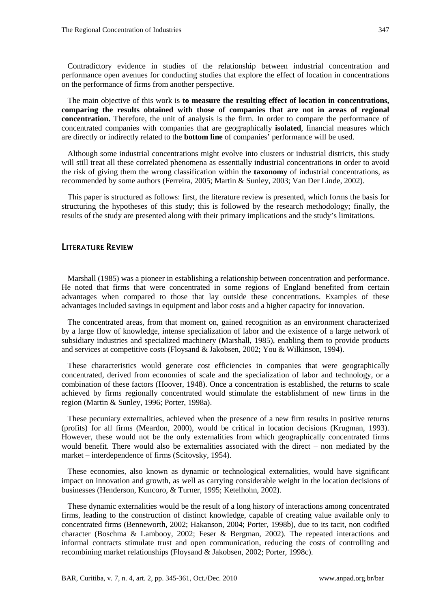Contradictory evidence in studies of the relationship between industrial concentration and performance open avenues for conducting studies that explore the effect of location in concentrations on the performance of firms from another perspective.

The main objective of this work is **to measure the resulting effect of location in concentrations, comparing the results obtained with those of companies that are not in areas of regional concentration.** Therefore, the unit of analysis is the firm. In order to compare the performance of concentrated companies with companies that are geographically **isolated**, financial measures which are directly or indirectly related to the **bottom line** of companies' performance will be used.

Although some industrial concentrations might evolve into clusters or industrial districts, this study will still treat all these correlated phenomena as essentially industrial concentrations in order to avoid the risk of giving them the wrong classification within the **taxonomy** of industrial concentrations, as recommended by some authors (Ferreira, 2005; Martin & Sunley, 2003; Van Der Linde, 2002).

This paper is structured as follows: first, the literature review is presented, which forms the basis for structuring the hypotheses of this study; this is followed by the research methodology; finally, the results of the study are presented along with their primary implications and the study's limitations.

#### LITERATURE REVIEW

Marshall (1985) was a pioneer in establishing a relationship between concentration and performance. He noted that firms that were concentrated in some regions of England benefited from certain advantages when compared to those that lay outside these concentrations. Examples of these advantages included savings in equipment and labor costs and a higher capacity for innovation.

The concentrated areas, from that moment on, gained recognition as an environment characterized by a large flow of knowledge, intense specialization of labor and the existence of a large network of subsidiary industries and specialized machinery (Marshall, 1985), enabling them to provide products and services at competitive costs (Floysand & Jakobsen, 2002; You & Wilkinson, 1994).

These characteristics would generate cost efficiencies in companies that were geographically concentrated, derived from economies of scale and the specialization of labor and technology, or a combination of these factors (Hoover, 1948). Once a concentration is established, the returns to scale achieved by firms regionally concentrated would stimulate the establishment of new firms in the region (Martin & Sunley, 1996; Porter, 1998a).

These pecuniary externalities, achieved when the presence of a new firm results in positive returns (profits) for all firms (Meardon, 2000), would be critical in location decisions (Krugman, 1993). However, these would not be the only externalities from which geographically concentrated firms would benefit. There would also be externalities associated with the direct – non mediated by the market – interdependence of firms (Scitovsky, 1954).

These economies, also known as dynamic or technological externalities, would have significant impact on innovation and growth, as well as carrying considerable weight in the location decisions of businesses (Henderson, Kuncoro, & Turner, 1995; Ketelhohn, 2002).

These dynamic externalities would be the result of a long history of interactions among concentrated firms, leading to the construction of distinct knowledge, capable of creating value available only to concentrated firms (Benneworth, 2002; Hakanson, 2004; Porter, 1998b), due to its tacit, non codified character (Boschma & Lambooy, 2002; Feser & Bergman, 2002). The repeated interactions and informal contracts stimulate trust and open communication, reducing the costs of controlling and recombining market relationships (Floysand & Jakobsen, 2002; Porter, 1998c).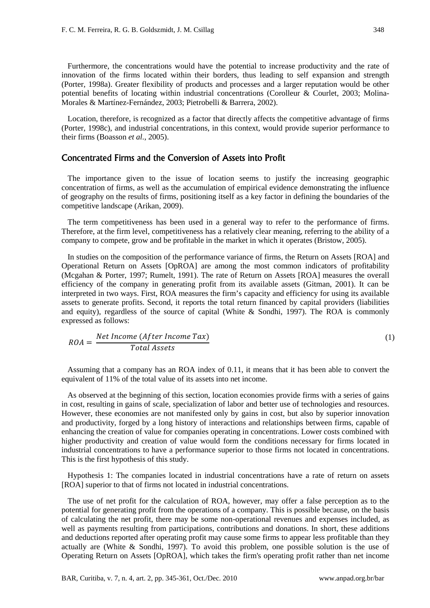Furthermore, the concentrations would have the potential to increase productivity and the rate of innovation of the firms located within their borders, thus leading to self expansion and strength (Porter, 1998a). Greater flexibility of products and processes and a larger reputation would be other potential benefits of locating within industrial concentrations (Corolleur & Courlet, 2003; Molina-

Location, therefore, is recognized as a factor that directly affects the competitive advantage of firms (Porter, 1998c), and industrial concentrations, in this context, would provide superior performance to their firms (Boasson *et al.*, 2005).

## Concentrated Firms and the Conversion of Assets into Profit

Morales & Martínez-Fernández, 2003; Pietrobelli & Barrera, 2002).

The importance given to the issue of location seems to justify the increasing geographic concentration of firms, as well as the accumulation of empirical evidence demonstrating the influence of geography on the results of firms, positioning itself as a key factor in defining the boundaries of the competitive landscape (Arikan, 2009).

The term competitiveness has been used in a general way to refer to the performance of firms. Therefore, at the firm level, competitiveness has a relatively clear meaning, referring to the ability of a company to compete, grow and be profitable in the market in which it operates (Bristow, 2005).

In studies on the composition of the performance variance of firms, the Return on Assets [ROA] and Operational Return on Assets [OpROA] are among the most common indicators of profitability (Mcgahan & Porter, 1997; Rumelt, 1991). The rate of Return on Assets [ROA] measures the overall efficiency of the company in generating profit from its available assets (Gitman, 2001). It can be interpreted in two ways. First, ROA measures the firm's capacity and efficiency for using its available assets to generate profits. Second, it reports the total return financed by capital providers (liabilities and equity), regardless of the source of capital (White & Sondhi, 1997). The ROA is commonly expressed as follows:

$$
ROA = \frac{Net Income (After Income Tax)}{Total Assets}
$$
 (1)

Assuming that a company has an ROA index of 0.11, it means that it has been able to convert the equivalent of 11% of the total value of its assets into net income.

As observed at the beginning of this section, location economies provide firms with a series of gains in cost, resulting in gains of scale, specialization of labor and better use of technologies and resources. However, these economies are not manifested only by gains in cost, but also by superior innovation and productivity, forged by a long history of interactions and relationships between firms, capable of enhancing the creation of value for companies operating in concentrations. Lower costs combined with higher productivity and creation of value would form the conditions necessary for firms located in industrial concentrations to have a performance superior to those firms not located in concentrations. This is the first hypothesis of this study.

Hypothesis 1: The companies located in industrial concentrations have a rate of return on assets [ROA] superior to that of firms not located in industrial concentrations.

The use of net profit for the calculation of ROA, however, may offer a false perception as to the potential for generating profit from the operations of a company. This is possible because, on the basis of calculating the net profit, there may be some non-operational revenues and expenses included, as well as payments resulting from participations, contributions and donations. In short, these additions and deductions reported after operating profit may cause some firms to appear less profitable than they actually are (White  $\&$  Sondhi, 1997). To avoid this problem, one possible solution is the use of Operating Return on Assets [OpROA], which takes the firm's operating profit rather than net income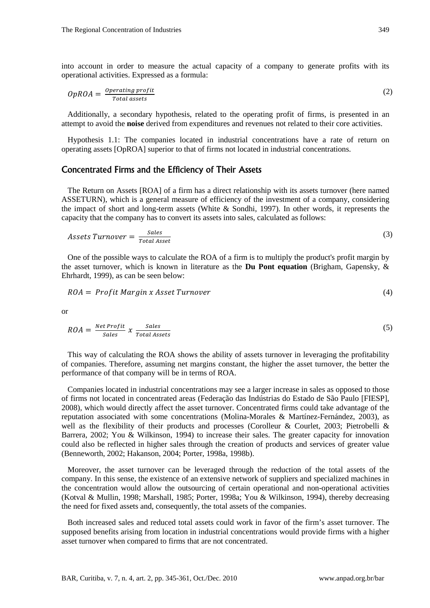into account in order to measure the actual capacity of a company to generate profits with its operational activities. Expressed as a formula:

$$
OpROA = \frac{Operating\ profit}{Total\ assets} \tag{2}
$$

Additionally, a secondary hypothesis, related to the operating profit of firms, is presented in an attempt to avoid the **noise** derived from expenditures and revenues not related to their core activities.

Hypothesis 1.1: The companies located in industrial concentrations have a rate of return on operating assets [OpROA] superior to that of firms not located in industrial concentrations.

#### Concentrated Firms and the Efficiency of Their Assets

The Return on Assets [ROA] of a firm has a direct relationship with its assets turnover (here named ASSETURN), which is a general measure of efficiency of the investment of a company, considering the impact of short and long-term assets (White & Sondhi, 1997). In other words, it represents the capacity that the company has to convert its assets into sales, calculated as follows:

$$
Assets\;Turnover = \frac{Sales}{Total\;Asset} \tag{3}
$$

One of the possible ways to calculate the ROA of a firm is to multiply the product's profit margin by the asset turnover, which is known in literature as the **Du Pont equation** (Brigham, Gapensky, & Ehrhardt, 1999), as can be seen below:

$$
ROA = Profit Margin x Asset Turnover \tag{4}
$$

or

$$
ROA = \frac{Net Profit}{Sales} \times \frac{Sales}{Total Assets}
$$
 (5)

This way of calculating the ROA shows the ability of assets turnover in leveraging the profitability of companies. Therefore, assuming net margins constant, the higher the asset turnover, the better the performance of that company will be in terms of ROA.

Companies located in industrial concentrations may see a larger increase in sales as opposed to those of firms not located in concentrated areas (Federação das Indústrias do Estado de São Paulo [FIESP], 2008), which would directly affect the asset turnover. Concentrated firms could take advantage of the reputation associated with some concentrations (Molina-Morales & Martínez-Fernández, 2003), as well as the flexibility of their products and processes (Corolleur & Courlet, 2003; Pietrobelli & Barrera, 2002; You & Wilkinson, 1994) to increase their sales. The greater capacity for innovation could also be reflected in higher sales through the creation of products and services of greater value (Benneworth, 2002; Hakanson, 2004; Porter, 1998a, 1998b).

Moreover, the asset turnover can be leveraged through the reduction of the total assets of the company. In this sense, the existence of an extensive network of suppliers and specialized machines in the concentration would allow the outsourcing of certain operational and non-operational activities (Kotval & Mullin, 1998; Marshall, 1985; Porter, 1998a; You & Wilkinson, 1994), thereby decreasing the need for fixed assets and, consequently, the total assets of the companies.

Both increased sales and reduced total assets could work in favor of the firm's asset turnover. The supposed benefits arising from location in industrial concentrations would provide firms with a higher asset turnover when compared to firms that are not concentrated.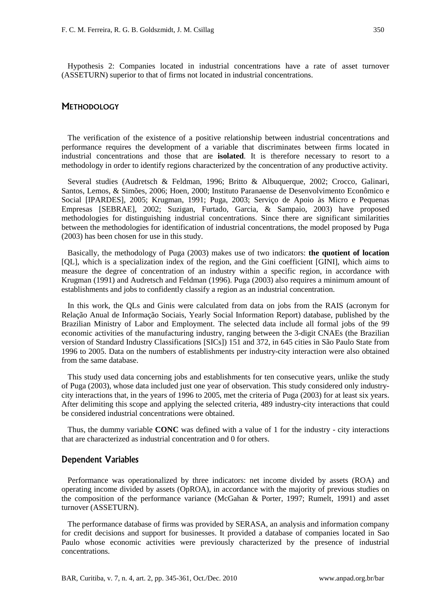Hypothesis 2: Companies located in industrial concentrations have a rate of asset turnover (ASSETURN) superior to that of firms not located in industrial concentrations.

## **METHODOLOGY**

The verification of the existence of a positive relationship between industrial concentrations and performance requires the development of a variable that discriminates between firms located in industrial concentrations and those that are **isolated**. It is therefore necessary to resort to a methodology in order to identify regions characterized by the concentration of any productive activity.

Several studies (Audretsch & Feldman, 1996; Britto & Albuquerque, 2002; Crocco, Galinari, Santos, Lemos, & Simões, 2006; Hoen, 2000; Instituto Paranaense de Desenvolvimento Econômico e Social [IPARDES], 2005; Krugman, 1991; Puga, 2003; Serviço de Apoio às Micro e Pequenas Empresas [SEBRAE], 2002; Suzigan, Furtado, Garcia, & Sampaio, 2003) have proposed methodologies for distinguishing industrial concentrations. Since there are significant similarities between the methodologies for identification of industrial concentrations, the model proposed by Puga (2003) has been chosen for use in this study.

Basically, the methodology of Puga (2003) makes use of two indicators: **the quotient of location** [QL], which is a specialization index of the region, and the Gini coefficient [GINI], which aims to measure the degree of concentration of an industry within a specific region, in accordance with Krugman (1991) and Audretsch and Feldman (1996). Puga (2003) also requires a minimum amount of establishments and jobs to confidently classify a region as an industrial concentration.

In this work, the QLs and Ginis were calculated from data on jobs from the RAIS (acronym for Relação Anual de Informação Sociais, Yearly Social Information Report) database, published by the Brazilian Ministry of Labor and Employment. The selected data include all formal jobs of the 99 economic activities of the manufacturing industry, ranging between the 3-digit CNAEs (the Brazilian version of Standard Industry Classifications [SICs]) 151 and 372, in 645 cities in São Paulo State from 1996 to 2005. Data on the numbers of establishments per industry-city interaction were also obtained from the same database.

This study used data concerning jobs and establishments for ten consecutive years, unlike the study of Puga (2003), whose data included just one year of observation. This study considered only industrycity interactions that, in the years of 1996 to 2005, met the criteria of Puga (2003) for at least six years. After delimiting this scope and applying the selected criteria, 489 industry-city interactions that could be considered industrial concentrations were obtained.

Thus, the dummy variable **CONC** was defined with a value of 1 for the industry - city interactions that are characterized as industrial concentration and 0 for others.

## Dependent Variables

Performance was operationalized by three indicators: net income divided by assets (ROA) and operating income divided by assets (OpROA), in accordance with the majority of previous studies on the composition of the performance variance (McGahan & Porter, 1997; Rumelt, 1991) and asset turnover (ASSETURN).

The performance database of firms was provided by SERASA, an analysis and information company for credit decisions and support for businesses. It provided a database of companies located in Sao Paulo whose economic activities were previously characterized by the presence of industrial concentrations.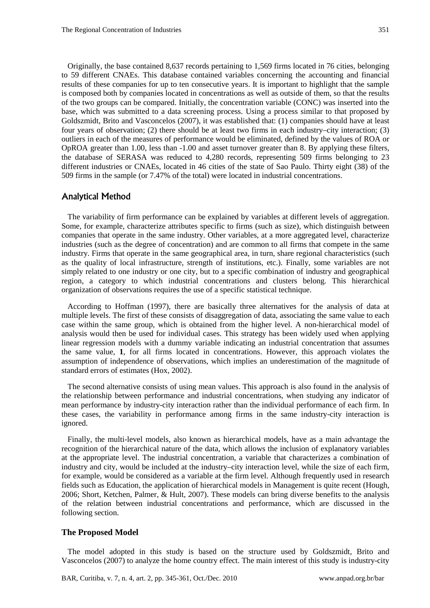Originally, the base contained 8,637 records pertaining to 1,569 firms located in 76 cities, belonging to 59 different CNAEs. This database contained variables concerning the accounting and financial results of these companies for up to ten consecutive years. It is important to highlight that the sample is composed both by companies located in concentrations as well as outside of them, so that the results of the two groups can be compared. Initially, the concentration variable (CONC) was inserted into the base, which was submitted to a data screening process. Using a process similar to that proposed by Goldszmidt, Brito and Vasconcelos (2007), it was established that: (1) companies should have at least four years of observation; (2) there should be at least two firms in each industry–city interaction; (3) outliers in each of the measures of performance would be eliminated, defined by the values of ROA or OpROA greater than 1.00, less than -1.00 and asset turnover greater than 8. By applying these filters, the database of SERASA was reduced to 4,280 records, representing 509 firms belonging to 23 different industries or CNAEs, located in 46 cities of the state of Sao Paulo. Thirty eight (38) of the 509 firms in the sample (or 7.47% of the total) were located in industrial concentrations.

## Analytical Method

The variability of firm performance can be explained by variables at different levels of aggregation. Some, for example, characterize attributes specific to firms (such as size), which distinguish between companies that operate in the same industry. Other variables, at a more aggregated level, characterize industries (such as the degree of concentration) and are common to all firms that compete in the same industry. Firms that operate in the same geographical area, in turn, share regional characteristics (such as the quality of local infrastructure, strength of institutions, etc.). Finally, some variables are not simply related to one industry or one city, but to a specific combination of industry and geographical region, a category to which industrial concentrations and clusters belong. This hierarchical organization of observations requires the use of a specific statistical technique.

According to Hoffman (1997), there are basically three alternatives for the analysis of data at multiple levels. The first of these consists of disaggregation of data, associating the same value to each case within the same group, which is obtained from the higher level. A non-hierarchical model of analysis would then be used for individual cases. This strategy has been widely used when applying linear regression models with a dummy variable indicating an industrial concentration that assumes the same value, **1**, for all firms located in concentrations. However, this approach violates the assumption of independence of observations, which implies an underestimation of the magnitude of standard errors of estimates (Hox, 2002).

The second alternative consists of using mean values. This approach is also found in the analysis of the relationship between performance and industrial concentrations, when studying any indicator of mean performance by industry-city interaction rather than the individual performance of each firm. In these cases, the variability in performance among firms in the same industry-city interaction is ignored.

Finally, the multi-level models, also known as hierarchical models, have as a main advantage the recognition of the hierarchical nature of the data, which allows the inclusion of explanatory variables at the appropriate level. The industrial concentration, a variable that characterizes a combination of industry and city, would be included at the industry–city interaction level, while the size of each firm, for example, would be considered as a variable at the firm level. Although frequently used in research fields such as Education, the application of hierarchical models in Management is quite recent (Hough, 2006; Short, Ketchen, Palmer, & Hult, 2007). These models can bring diverse benefits to the analysis of the relation between industrial concentrations and performance, which are discussed in the following section.

## **The Proposed Model**

The model adopted in this study is based on the structure used by Goldszmidt, Brito and Vasconcelos (2007) to analyze the home country effect. The main interest of this study is industry-city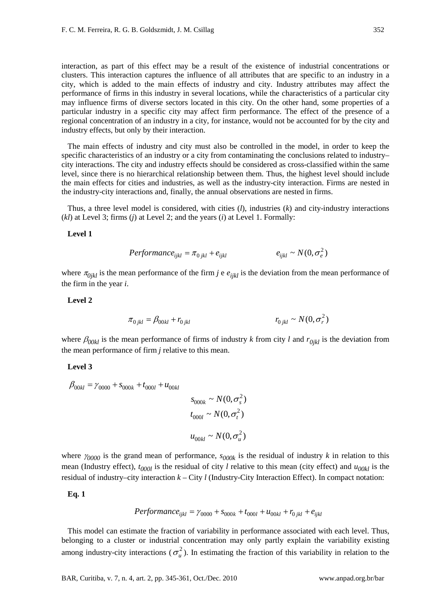interaction, as part of this effect may be a result of the existence of industrial concentrations or clusters. This interaction captures the influence of all attributes that are specific to an industry in a city, which is added to the main effects of industry and city. Industry attributes may affect the performance of firms in this industry in several locations, while the characteristics of a particular city may influence firms of diverse sectors located in this city. On the other hand, some properties of a particular industry in a specific city may affect firm performance. The effect of the presence of a regional concentration of an industry in a city, for instance, would not be accounted for by the city and industry effects, but only by their interaction.

The main effects of industry and city must also be controlled in the model, in order to keep the specific characteristics of an industry or a city from contaminating the conclusions related to industry– city interactions. The city and industry effects should be considered as cross-classified within the same level, since there is no hierarchical relationship between them. Thus, the highest level should include the main effects for cities and industries, as well as the industry-city interaction. Firms are nested in the industry-city interactions and, finally, the annual observations are nested in firms.

Thus, a three level model is considered, with cities (*l*), industries (*k*) and city-industry interactions (*kl*) at Level 3; firms (*j*) at Level 2; and the years (*i*) at Level 1. Formally:

## **Level 1**

$$
Performance_{ijkl} = \pi_{0jkl} + e_{ijkl} \qquad \qquad e_{ijkl} \sim N(0, \sigma_e^2)
$$

where  $\pi_{0ikl}$  is the mean performance of the firm *j* e  $e_{iikl}$  is the deviation from the mean performance of the firm in the year *i*.

#### **Level 2**

$$
\pi_{0\,jkl} = \beta_{00kl} + r_{0\,jkl} \qquad \qquad r_{0\,jkl} \sim N(0, \sigma_r^2)
$$

where  $\beta_{00kl}$  is the mean performance of firms of industry *k* from city *l* and  $r_{0ikl}$  is the deviation from the mean performance of firm *j* relative to this mean.

#### **Level 3**

$$
\beta_{00kl} = \gamma_{0000} + s_{000k} + t_{000l} + u_{00kl}
$$
\n
$$
s_{000k} \sim N(0, \sigma_s^2)
$$
\n
$$
t_{000l} \sim N(0, \sigma_t^2)
$$
\n
$$
u_{00kl} \sim N(0, \sigma_u^2)
$$

where  $\gamma_{0000}$  is the grand mean of performance,  $s_{000k}$  is the residual of industry *k* in relation to this mean (Industry effect), *t000l* is the residual of city *l* relative to this mean (city effect) and *u00kl* is the residual of industry–city interaction *k –* City *l* (Industry-City Interaction Effect). In compact notation:

#### **Eq. 1**

$$
Performance_{ijkl} = \gamma_{0000} + s_{000k} + t_{000l} + u_{00kl} + r_{0jkl} + e_{ijkl}
$$

This model can estimate the fraction of variability in performance associated with each level. Thus, belonging to a cluster or industrial concentration may only partly explain the variability existing among industry-city interactions ( $\sigma_u^2$ ). In estimating the fraction of this variability in relation to the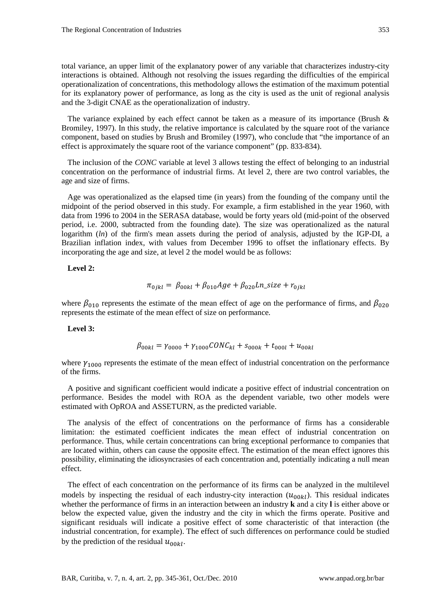total variance, an upper limit of the explanatory power of any variable that characterizes industry-city interactions is obtained. Although not resolving the issues regarding the difficulties of the empirical operationalization of concentrations, this methodology allows the estimation of the maximum potential for its explanatory power of performance, as long as the city is used as the unit of regional analysis and the 3-digit CNAE as the operationalization of industry.

The variance explained by each effect cannot be taken as a measure of its importance (Brush  $\&$ Bromiley, 1997). In this study, the relative importance is calculated by the square root of the variance component, based on studies by Brush and Bromiley (1997), who conclude that "the importance of an effect is approximately the square root of the variance component" (pp. 833-834).

The inclusion of the *CONC* variable at level 3 allows testing the effect of belonging to an industrial concentration on the performance of industrial firms. At level 2, there are two control variables, the age and size of firms.

Age was operationalized as the elapsed time (in years) from the founding of the company until the midpoint of the period observed in this study. For example, a firm established in the year 1960, with data from 1996 to 2004 in the SERASA database, would be forty years old (mid-point of the observed period, i.e. 2000, subtracted from the founding date). The size was operationalized as the natural logarithm (*ln*) of the firm's mean assets during the period of analysis, adjusted by the IGP-DI, a Brazilian inflation index, with values from December 1996 to offset the inflationary effects. By incorporating the age and size, at level 2 the model would be as follows:

#### **Level 2:**

$$
\pi_{0jkl} = \beta_{00kl} + \beta_{010}Age + \beta_{020} Ln\_size + r_{0jkl}
$$

where  $\beta_{010}$  represents the estimate of the mean effect of age on the performance of firms, and  $\beta_{020}$ represents the estimate of the mean effect of size on performance*.* 

## **Level 3:**

$$
\beta_{00kl} = \gamma_{0000} + \gamma_{1000} CONC_{kl} + s_{000k} + t_{000l} + u_{00kl}
$$

where  $\gamma_{1000}$  represents the estimate of the mean effect of industrial concentration on the performance of the firms.

A positive and significant coefficient would indicate a positive effect of industrial concentration on performance. Besides the model with ROA as the dependent variable, two other models were estimated with OpROA and ASSETURN, as the predicted variable.

The analysis of the effect of concentrations on the performance of firms has a considerable limitation: the estimated coefficient indicates the mean effect of industrial concentration on performance. Thus, while certain concentrations can bring exceptional performance to companies that are located within, others can cause the opposite effect. The estimation of the mean effect ignores this possibility, eliminating the idiosyncrasies of each concentration and, potentially indicating a null mean effect.

The effect of each concentration on the performance of its firms can be analyzed in the multilevel models by inspecting the residual of each industry-city interaction  $(u_{00kl})$ . This residual indicates whether the performance of firms in an interaction between an industry **k** and a city **l** is either above or below the expected value, given the industry and the city in which the firms operate. Positive and significant residuals will indicate a positive effect of some characteristic of that interaction (the industrial concentration, for example). The effect of such differences on performance could be studied by the prediction of the residual  $u_{00kl}$ .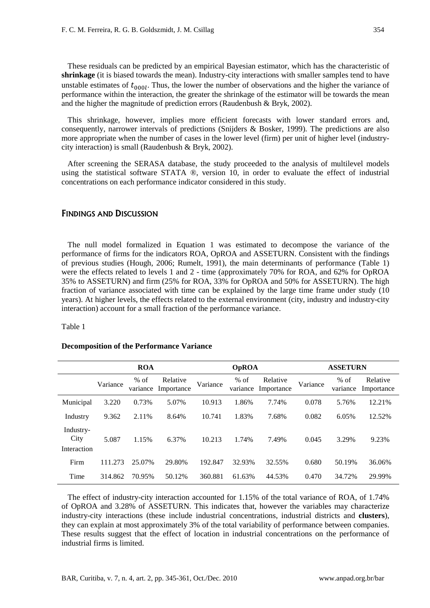These residuals can be predicted by an empirical Bayesian estimator, which has the characteristic of **shrinkage** (it is biased towards the mean). Industry-city interactions with smaller samples tend to have unstable estimates of  $t_{000l}$ . Thus, the lower the number of observations and the higher the variance of performance within the interaction, the greater the shrinkage of the estimator will be towards the mean and the higher the magnitude of prediction errors (Raudenbush & Bryk, 2002).

This shrinkage, however, implies more efficient forecasts with lower standard errors and, consequently, narrower intervals of predictions (Snijders & Bosker, 1999). The predictions are also more appropriate when the number of cases in the lower level (firm) per unit of higher level (industrycity interaction) is small (Raudenbush & Bryk, 2002).

After screening the SERASA database, the study proceeded to the analysis of multilevel models using the statistical software STATA ®, version 10, in order to evaluate the effect of industrial concentrations on each performance indicator considered in this study.

## FINDINGS AND DISCUSSION

The null model formalized in Equation 1 was estimated to decompose the variance of the performance of firms for the indicators ROA, OpROA and ASSETURN. Consistent with the findings of previous studies (Hough, 2006; Rumelt, 1991), the main determinants of performance (Table 1) were the effects related to levels 1 and 2 - time (approximately 70% for ROA, and 62% for OpROA 35% to ASSETURN) and firm (25% for ROA, 33% for OpROA and 50% for ASSETURN). The high fraction of variance associated with time can be explained by the large time frame under study (10 years). At higher levels, the effects related to the external environment (city, industry and industry-city interaction) account for a small fraction of the performance variance.

Table 1

#### **Decomposition of the Performance Variance**

|                                  | <b>ROA</b> |                    |                        | <b>OpROA</b> |                    |                        | <b>ASSETURN</b> |                    |                        |
|----------------------------------|------------|--------------------|------------------------|--------------|--------------------|------------------------|-----------------|--------------------|------------------------|
|                                  | Variance   | $%$ of<br>variance | Relative<br>Importance | Variance     | $%$ of<br>variance | Relative<br>Importance | Variance        | $%$ of<br>variance | Relative<br>Importance |
| Municipal                        | 3.220      | 0.73%              | 5.07%                  | 10.913       | 1.86%              | 7.74%                  | 0.078           | 5.76%              | 12.21%                 |
| Industry                         | 9.362      | 2.11%              | 8.64%                  | 10.741       | 1.83%              | 7.68%                  | 0.082           | 6.05%              | 12.52%                 |
| Industry-<br>City<br>Interaction | 5.087      | 1.15%              | 6.37%                  | 10.213       | 1.74%              | 7.49%                  | 0.045           | 3.29%              | 9.23%                  |
| Firm                             | 111.273    | 25.07%             | 29.80%                 | 192.847      | 32.93%             | 32.55%                 | 0.680           | 50.19%             | 36.06%                 |
| Time                             | 314.862    | 70.95%             | 50.12%                 | 360.881      | 61.63%             | 44.53%                 | 0.470           | 34.72%             | 29.99%                 |

The effect of industry-city interaction accounted for 1.15% of the total variance of ROA, of 1.74% of OpROA and 3.28% of ASSETURN. This indicates that, however the variables may characterize industry-city interactions (these include industrial concentrations, industrial districts and **clusters**), they can explain at most approximately 3% of the total variability of performance between companies. These results suggest that the effect of location in industrial concentrations on the performance of industrial firms is limited.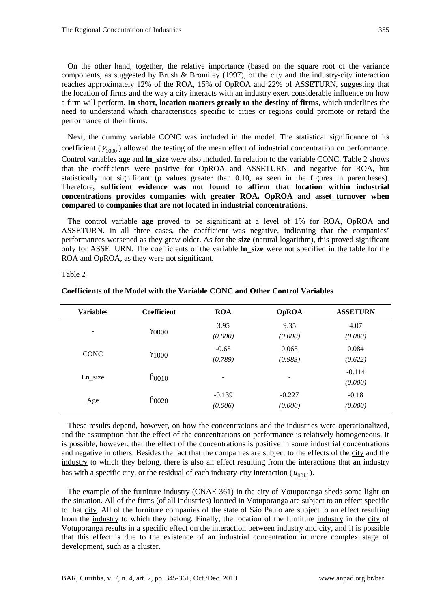On the other hand, together, the relative importance (based on the square root of the variance components, as suggested by Brush & Bromiley (1997), of the city and the industry-city interaction reaches approximately 12% of the ROA, 15% of OpROA and 22% of ASSETURN, suggesting that the location of firms and the way a city interacts with an industry exert considerable influence on how a firm will perform. **In short, location matters greatly to the destiny of firms**, which underlines the need to understand which characteristics specific to cities or regions could promote or retard the performance of their firms.

Next, the dummy variable CONC was included in the model. The statistical significance of its coefficient ( $\gamma_{1000}$ ) allowed the testing of the mean effect of industrial concentration on performance. Control variables **age** and **ln\_size** were also included. In relation to the variable CONC, Table 2 shows that the coefficients were positive for OpROA and ASSETURN, and negative for ROA, but statistically not significant (p values greater than 0.10, as seen in the figures in parentheses). Therefore, **sufficient evidence was not found to affirm that location within industrial concentrations provides companies with greater ROA, OpROA and asset turnover when compared to companies that are not located in industrial concentrations**.

The control variable **age** proved to be significant at a level of 1% for ROA, OpROA and ASSETURN. In all three cases, the coefficient was negative, indicating that the companies' performances worsened as they grew older. As for the **size** (natural logarithm), this proved significant only for ASSETURN. The coefficients of the variable **ln\_size** were not specified in the table for the ROA and OpROA, as they were not significant.

#### Table 2

| <b>Variables</b>         | <b>Coefficient</b> | <b>ROA</b> | <b>OpROA</b> | <b>ASSETURN</b> |
|--------------------------|--------------------|------------|--------------|-----------------|
| $\overline{\phantom{a}}$ | $\gamma$ 0000      | 3.95       | 9.35         | 4.07            |
|                          |                    | (0.000)    | (0.000)      | (0.000)         |
| <b>CONC</b>              |                    | $-0.65$    | 0.065        | 0.084           |
|                          | $\gamma_{1000}$    | (0.789)    | (0.983)      | (0.622)         |
| Ln_size                  | $\beta_{0010}$     |            |              | $-0.114$        |
|                          |                    | -          | -            | (0.000)         |
|                          | $\beta_{0020}$     | $-0.139$   | $-0.227$     | $-0.18$         |
| Age                      |                    | (0.006)    | (0.000)      | (0.000)         |

# **Coefficients of the Model with the Variable CONC and Other Control Variables**

These results depend, however, on how the concentrations and the industries were operationalized, and the assumption that the effect of the concentrations on performance is relatively homogeneous. It is possible, however, that the effect of the concentrations is positive in some industrial concentrations and negative in others. Besides the fact that the companies are subject to the effects of the city and the industry to which they belong, there is also an effect resulting from the interactions that an industry has with a specific city, or the residual of each industry-city interaction  $(u_{00kl})$ .

The example of the furniture industry (CNAE 361) in the city of Votuporanga sheds some light on the situation. All of the firms (of all industries) located in Votuporanga are subject to an effect specific to that city. All of the furniture companies of the state of São Paulo are subject to an effect resulting from the industry to which they belong. Finally, the location of the furniture industry in the city of Votuporanga results in a specific effect on the interaction between industry and city, and it is possible that this effect is due to the existence of an industrial concentration in more complex stage of development, such as a cluster.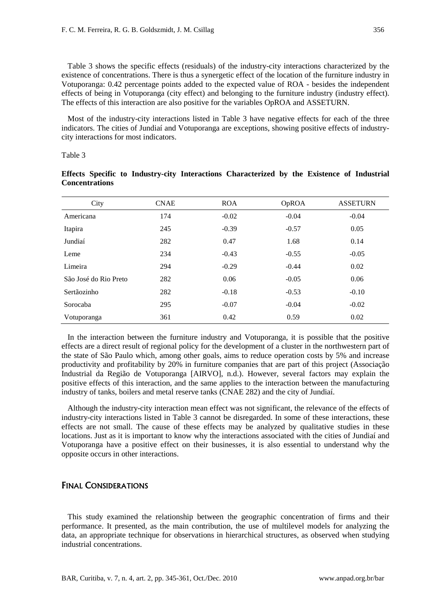Table 3 shows the specific effects (residuals) of the industry-city interactions characterized by the existence of concentrations. There is thus a synergetic effect of the location of the furniture industry in Votuporanga: 0.42 percentage points added to the expected value of ROA - besides the independent effects of being in Votuporanga (city effect) and belonging to the furniture industry (industry effect). The effects of this interaction are also positive for the variables OpROA and ASSETURN.

Most of the industry-city interactions listed in Table 3 have negative effects for each of the three indicators. The cities of Jundiaí and Votuporanga are exceptions, showing positive effects of industrycity interactions for most indicators.

#### Table 3

| City                  | <b>CNAE</b> | <b>ROA</b> | OpROA   | <b>ASSETURN</b> |
|-----------------------|-------------|------------|---------|-----------------|
| Americana             | 174         | $-0.02$    | $-0.04$ | $-0.04$         |
| Itapira               | 245         | $-0.39$    | $-0.57$ | 0.05            |
| Jundiaí               | 282         | 0.47       | 1.68    | 0.14            |
| Leme                  | 234         | $-0.43$    | $-0.55$ | $-0.05$         |
| Limeira               | 294         | $-0.29$    | $-0.44$ | 0.02            |
| São José do Rio Preto | 282         | 0.06       | $-0.05$ | 0.06            |
| Sertãozinho           | 282         | $-0.18$    | $-0.53$ | $-0.10$         |
| Sorocaba              | 295         | $-0.07$    | $-0.04$ | $-0.02$         |
| Votuporanga           | 361         | 0.42       | 0.59    | 0.02            |

## **Effects Specific to Industry-city Interactions Characterized by the Existence of Industrial Concentrations**

In the interaction between the furniture industry and Votuporanga, it is possible that the positive effects are a direct result of regional policy for the development of a cluster in the northwestern part of the state of São Paulo which, among other goals, aims to reduce operation costs by 5% and increase productivity and profitability by 20% in furniture companies that are part of this project (Associação Industrial da Região de Votuporanga [AIRVO], n.d.). However, several factors may explain the positive effects of this interaction, and the same applies to the interaction between the manufacturing industry of tanks, boilers and metal reserve tanks (CNAE 282) and the city of Jundiaí.

Although the industry-city interaction mean effect was not significant, the relevance of the effects of industry-city interactions listed in Table 3 cannot be disregarded. In some of these interactions, these effects are not small. The cause of these effects may be analyzed by qualitative studies in these locations. Just as it is important to know why the interactions associated with the cities of Jundiaí and Votuporanga have a positive effect on their businesses, it is also essential to understand why the opposite occurs in other interactions.

# FINAL CONSIDERATIONS

This study examined the relationship between the geographic concentration of firms and their performance. It presented, as the main contribution, the use of multilevel models for analyzing the data, an appropriate technique for observations in hierarchical structures, as observed when studying industrial concentrations.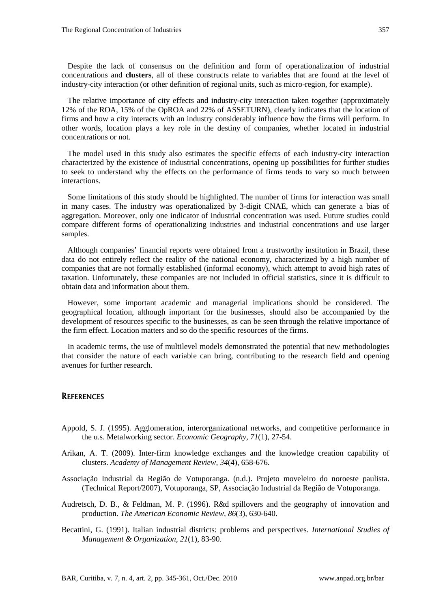Despite the lack of consensus on the definition and form of operationalization of industrial concentrations and **clusters**, all of these constructs relate to variables that are found at the level of industry-city interaction (or other definition of regional units, such as micro-region, for example).

The relative importance of city effects and industry-city interaction taken together (approximately 12% of the ROA, 15% of the OpROA and 22% of ASSETURN), clearly indicates that the location of firms and how a city interacts with an industry considerably influence how the firms will perform. In other words, location plays a key role in the destiny of companies, whether located in industrial concentrations or not.

The model used in this study also estimates the specific effects of each industry-city interaction characterized by the existence of industrial concentrations, opening up possibilities for further studies to seek to understand why the effects on the performance of firms tends to vary so much between interactions.

Some limitations of this study should be highlighted. The number of firms for interaction was small in many cases. The industry was operationalized by 3-digit CNAE, which can generate a bias of aggregation. Moreover, only one indicator of industrial concentration was used. Future studies could compare different forms of operationalizing industries and industrial concentrations and use larger samples.

Although companies' financial reports were obtained from a trustworthy institution in Brazil, these data do not entirely reflect the reality of the national economy, characterized by a high number of companies that are not formally established (informal economy), which attempt to avoid high rates of taxation. Unfortunately, these companies are not included in official statistics, since it is difficult to obtain data and information about them.

However, some important academic and managerial implications should be considered. The geographical location, although important for the businesses, should also be accompanied by the development of resources specific to the businesses, as can be seen through the relative importance of the firm effect. Location matters and so do the specific resources of the firms.

In academic terms, the use of multilevel models demonstrated the potential that new methodologies that consider the nature of each variable can bring, contributing to the research field and opening avenues for further research.

## **REFERENCES**

- Appold, S. J. (1995). Agglomeration, interorganizational networks, and competitive performance in the u.s. Metalworking sector. *Economic Geography, 71*(1), 27-54.
- Arikan, A. T. (2009). Inter-firm knowledge exchanges and the knowledge creation capability of clusters. *Academy of Management Review, 34*(4), 658-676.
- Associação Industrial da Região de Votuporanga. (n.d.). Projeto moveleiro do noroeste paulista. (Technical Report/2007), Votuporanga, SP, Associação Industrial da Região de Votuporanga.
- Audretsch, D. B., & Feldman, M. P. (1996). R&d spillovers and the geography of innovation and production. *The American Economic Review, 86*(3), 630-640.
- Becattini, G. (1991). Italian industrial districts: problems and perspectives. *International Studies of Management & Organization, 21*(1), 83-90.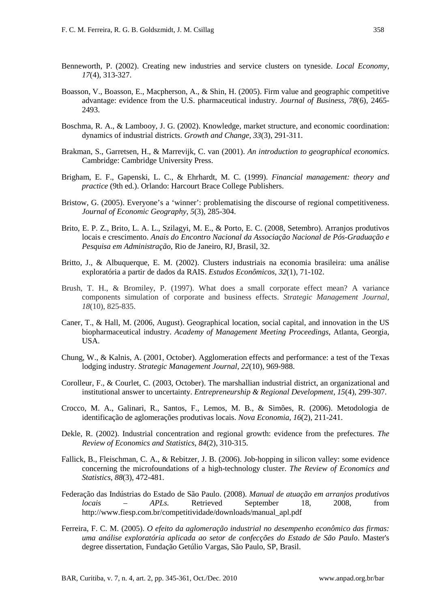- Benneworth, P. (2002). Creating new industries and service clusters on tyneside. *Local Economy, 17*(4), 313-327.
- Boasson, V., Boasson, E., Macpherson, A., & Shin, H. (2005). Firm value and geographic competitive advantage: evidence from the U.S. pharmaceutical industry. *Journal of Business, 78*(6), 2465- 2493.
- Boschma, R. A., & Lambooy, J. G. (2002). Knowledge, market structure, and economic coordination: dynamics of industrial districts. *Growth and Change, 33*(3), 291-311.
- Brakman, S., Garretsen, H., & Marrevijk, C. van (2001). *An introduction to geographical economics*. Cambridge: Cambridge University Press.
- Brigham, E. F., Gapenski, L. C., & Ehrhardt, M. C. (1999). *Financial management: theory and practice* (9th ed.). Orlando: Harcourt Brace College Publishers.
- Bristow, G. (2005). Everyone's a 'winner': problematising the discourse of regional competitiveness. *Journal of Economic Geography, 5*(3), 285-304.
- Brito, E. P. Z., Brito, L. A. L., Szilagyi, M. E., & Porto, E. C. (2008, Setembro). Arranjos produtivos locais e crescimento. *Anais do Encontro Nacional da Associação Nacional de Pós-Graduação e Pesquisa em Administração,* Rio de Janeiro, RJ, Brasil, 32.
- Britto, J., & Albuquerque, E. M. (2002). Clusters industriais na economia brasileira: uma análise exploratória a partir de dados da RAIS. *Estudos Econômicos, 32*(1), 71-102.
- Brush, T. H., & Bromiley, P. (1997). What does a small corporate effect mean? A variance components simulation of corporate and business effects. *Strategic Management Journal, 18*(10), 825-835.
- Caner, T., & Hall, M. (2006, August). Geographical location, social capital, and innovation in the US biopharmaceutical industry. *Academy of Management Meeting Proceedings*, Atlanta, Georgia, USA.
- Chung, W., & Kalnis, A. (2001, October). Agglomeration effects and performance: a test of the Texas lodging industry. *Strategic Management Journal, 22*(10), 969-988.
- Corolleur, F., & Courlet, C. (2003, October). The marshallian industrial district, an organizational and institutional answer to uncertainty. *Entrepreneurship & Regional Development, 15*(4), 299-307.
- Crocco, M. A., Galinari, R., Santos, F., Lemos, M. B., & Simões, R. (2006). Metodologia de identificação de aglomerações produtivas locais. *Nova Economia, 16*(2), 211-241.
- Dekle, R. (2002). Industrial concentration and regional growth: evidence from the prefectures. *The Review of Economics and Statistics, 84*(2), 310-315.
- Fallick, B., Fleischman, C. A., & Rebitzer, J. B. (2006). Job-hopping in silicon valley: some evidence concerning the microfoundations of a high-technology cluster. *The Review of Economics and Statistics, 88*(3), 472-481.
- Federação das Indústrias do Estado de São Paulo. (2008). *Manual de atuação em arranjos produtivos locais – APLs*. Retrieved September 18, 2008, from http://www.fiesp.com.br/competitividade/downloads/manual\_apl.pdf
- Ferreira, F. C. M. (2005). *O efeito da aglomeração industrial no desempenho econômico das firmas: uma análise exploratória aplicada ao setor de confecções do Estado de São Paulo*. Master's degree dissertation, Fundação Getúlio Vargas, São Paulo, SP, Brasil.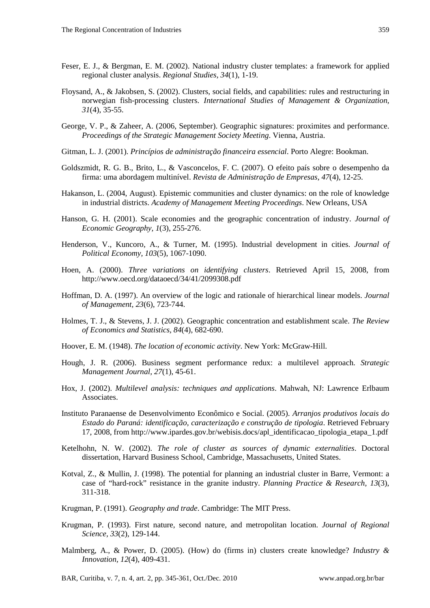- Feser, E. J., & Bergman, E. M. (2002). National industry cluster templates: a framework for applied regional cluster analysis. *Regional Studies, 34*(1), 1-19.
- Floysand, A., & Jakobsen, S. (2002). Clusters, social fields, and capabilities: rules and restructuring in norwegian fish-processing clusters. *International Studies of Management & Organization, 31*(4), 35-55.
- George, V. P., & Zaheer, A. (2006, September). Geographic signatures: proximites and performance. *Proceedings of the Strategic Management Society Meeting*. Vienna, Austria.
- Gitman, L. J. (2001). *Princípios de administração financeira essencial*. Porto Alegre: Bookman.
- Goldszmidt, R. G. B., Brito, L., & Vasconcelos, F. C. (2007). O efeito país sobre o desempenho da firma: uma abordagem multinível. *Revista de Administração de Empresas, 47*(4), 12-25.
- Hakanson, L. (2004, August). Epistemic communities and cluster dynamics: on the role of knowledge in industrial districts. *Academy of Management Meeting Proceedings*. New Orleans, USA
- Hanson, G. H. (2001). Scale economies and the geographic concentration of industry. *Journal of Economic Geography, 1*(3), 255-276.
- Henderson, V., Kuncoro, A., & Turner, M. (1995). Industrial development in cities. *Journal of Political Economy, 103*(5), 1067-1090.
- Hoen, A. (2000). *Three variations on identifying clusters*. Retrieved April 15, 2008, from http://www.oecd.org/dataoecd/34/41/2099308.pdf
- Hoffman, D. A. (1997). An overview of the logic and rationale of hierarchical linear models. *Journal of Management, 23*(6), 723-744.
- Holmes, T. J., & Stevens, J. J. (2002). Geographic concentration and establishment scale. *The Review of Economics and Statistics, 84*(4), 682-690.
- Hoover, E. M. (1948). *The location of economic activity*. New York: McGraw-Hill.
- Hough, J. R. (2006). Business segment performance redux: a multilevel approach. *Strategic Management Journal, 27*(1), 45-61.
- Hox, J. (2002). *Multilevel analysis: techniques and applications*. Mahwah, NJ: Lawrence Erlbaum Associates.
- Instituto Paranaense de Desenvolvimento Econômico e Social. (2005). *Arranjos produtivos locais do Estado do Paraná: identificação, caracterização e construção de tipologia*. Retrieved February 17, 2008, from http://www.ipardes.gov.br/webisis.docs/apl\_identificacao\_tipologia\_etapa\_1.pdf
- Ketelhohn, N. W. (2002). *The role of cluster as sources of dynamic externalities*. Doctoral dissertation, Harvard Business School, Cambridge, Massachusetts, United States.
- Kotval, Z., & Mullin, J. (1998). The potential for planning an industrial cluster in Barre, Vermont: a case of "hard-rock" resistance in the granite industry. *Planning Practice & Research, 13*(3), 311-318.
- Krugman, P. (1991). *Geography and trade*. Cambridge: The MIT Press.
- Krugman, P. (1993). First nature, second nature, and metropolitan location. *Journal of Regional Science, 33*(2), 129-144.
- Malmberg, A., & Power, D. (2005). (How) do (firms in) clusters create knowledge? *Industry & Innovation, 12*(4), 409-431.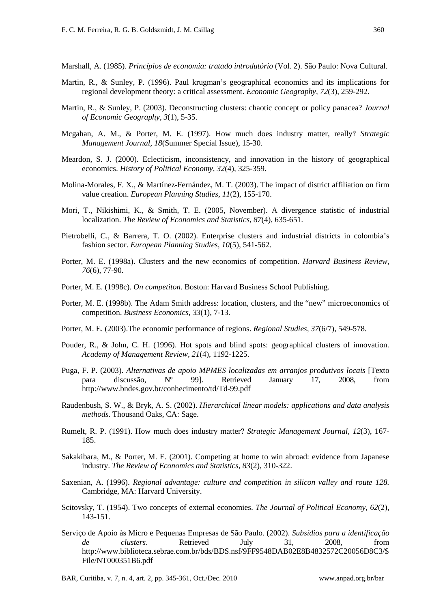Marshall, A. (1985). *Princípios de economia: tratado introdutório* (Vol. 2). São Paulo: Nova Cultural.

- Martin, R., & Sunley, P. (1996). Paul krugman's geographical economics and its implications for regional development theory: a critical assessment. *Economic Geography, 72*(3), 259-292.
- Martin, R., & Sunley, P. (2003). Deconstructing clusters: chaotic concept or policy panacea? *Journal of Economic Geography, 3*(1), 5-35.
- Mcgahan, A. M., & Porter, M. E. (1997). How much does industry matter, really? *Strategic Management Journal, 18*(Summer Special Issue), 15-30.
- Meardon, S. J. (2000). Eclecticism, inconsistency, and innovation in the history of geographical economics. *History of Political Economy, 32*(4), 325-359.
- Molina-Morales, F. X., & Martínez-Fernández, M. T. (2003). The impact of district affiliation on firm value creation. *European Planning Studies, 11*(2), 155-170.
- Mori, T., Nikishimi, K., & Smith, T. E. (2005, November). A divergence statistic of industrial localization. *The Review of Economics and Statistics, 87*(4), 635-651.
- Pietrobelli, C., & Barrera, T. O. (2002). Enterprise clusters and industrial districts in colombia's fashion sector. *European Planning Studies, 10*(5), 541-562.
- Porter, M. E. (1998a). Clusters and the new economics of competition. *Harvard Business Review, 76*(6), 77-90.
- Porter, M. E. (1998c). *On competiton*. Boston: Harvard Business School Publishing.
- Porter, M. E. (1998b). The Adam Smith address: location, clusters, and the "new" microeconomics of competition. *Business Economics, 33*(1), 7-13.
- Porter, M. E. (2003).The economic performance of regions. *Regional Studies, 37*(6/7), 549-578.
- Pouder, R., & John, C. H. (1996). Hot spots and blind spots: geographical clusters of innovation. *Academy of Management Review, 21*(4), 1192-1225.
- Puga, F. P. (2003). *Alternativas de apoio MPMES localizadas em arranjos produtivos locais* [Texto para discussão, Nº 99]. Retrieved January 17, 2008, from http://www.bndes.gov.br/conhecimento/td/Td-99.pdf
- Raudenbush, S. W., & Bryk, A. S. (2002). *Hierarchical linear models: applications and data analysis methods*. Thousand Oaks, CA: Sage.
- Rumelt, R. P. (1991). How much does industry matter? *Strategic Management Journal, 12*(3), 167- 185.
- Sakakibara, M., & Porter, M. E. (2001). Competing at home to win abroad: evidence from Japanese industry. *The Review of Economics and Statistics, 83*(2), 310-322.
- Saxenian, A. (1996). *Regional advantage: culture and competition in silicon valley and route 128.*  Cambridge, MA: Harvard University.
- Scitovsky, T. (1954). Two concepts of external economies. *The Journal of Political Economy, 62*(2), 143-151.
- Serviço de Apoio às Micro e Pequenas Empresas de São Paulo. (2002). *Subsídios para a identificação de clusters*. Retrieved July 31, 2008, from http://www.biblioteca.sebrae.com.br/bds/BDS.nsf/9FF9548DAB02E8B4832572C20056D8C3/\$ File/NT000351B6.pdf